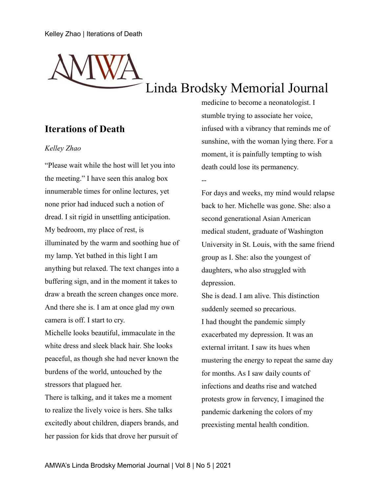# Linda Brodsky Memorial Journal

--

# **Iterations of Death**

### *Kelley Zhao*

"Please wait while the host will let you into the meeting." I have seen this analog box innumerable times for online lectures, yet none prior had induced such a notion of dread. I sit rigid in unsettling anticipation. My bedroom, my place of rest, is illuminated by the warm and soothing hue of my lamp. Yet bathed in this light I am anything but relaxed. The text changes into a buffering sign, and in the moment it takes to draw a breath the screen changes once more. And there she is. I am at once glad my own camera is off. I start to cry.

Michelle looks beautiful, immaculate in the white dress and sleek black hair. She looks peaceful, as though she had never known the burdens of the world, untouched by the stressors that plagued her.

There is talking, and it takes me a moment to realize the lively voice is hers. She talks excitedly about children, diapers brands, and her passion for kids that drove her pursuit of

medicine to become a neonatologist. I stumble trying to associate her voice, infused with a vibrancy that reminds me of sunshine, with the woman lying there. For a moment, it is painfully tempting to wish death could lose its permanency.

For days and weeks, my mind would relapse back to her. Michelle was gone. She: also a second generational Asian American medical student, graduate of Washington University in St. Louis, with the same friend group as I. She: also the youngest of daughters, who also struggled with depression.

She is dead. I am alive. This distinction suddenly seemed so precarious. I had thought the pandemic simply exacerbated my depression. It was an external irritant. I saw its hues when mustering the energy to repeat the same day for months. As I saw daily counts of infections and deaths rise and watched protests grow in fervency, I imagined the pandemic darkening the colors of my preexisting mental health condition.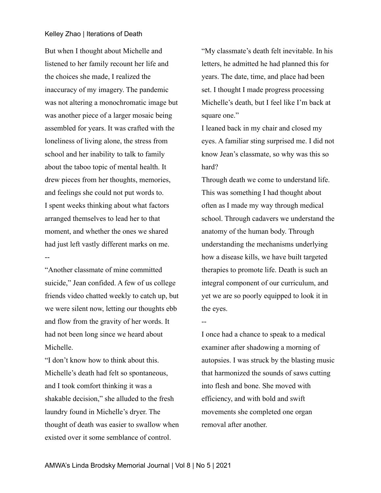#### Kelley Zhao | Iterations of Death

But when I thought about Michelle and listened to her family recount her life and the choices she made, I realized the inaccuracy of my imagery. The pandemic was not altering a monochromatic image but was another piece of a larger mosaic being assembled for years. It was crafted with the loneliness of living alone, the stress from school and her inability to talk to family about the taboo topic of mental health. It drew pieces from her thoughts, memories, and feelings she could not put words to. I spent weeks thinking about what factors arranged themselves to lead her to that moment, and whether the ones we shared had just left vastly different marks on me. --

"Another classmate of mine committed suicide," Jean confided. A few of us college friends video chatted weekly to catch up, but we were silent now, letting our thoughts ebb and flow from the gravity of her words. It had not been long since we heard about Michelle.

"I don't know how to think about this. Michelle's death had felt so spontaneous, and I took comfort thinking it was a shakable decision," she alluded to the fresh laundry found in Michelle's dryer. The thought of death was easier to swallow when existed over it some semblance of control.

"My classmate's death felt inevitable. In his letters, he admitted he had planned this for years. The date, time, and place had been set. I thought I made progress processing Michelle's death, but I feel like I'm back at square one."

I leaned back in my chair and closed my eyes. A familiar sting surprised me. I did not know Jean's classmate, so why was this so hard?

Through death we come to understand life. This was something I had thought about often as I made my way through medical school. Through cadavers we understand the anatomy of the human body. Through understanding the mechanisms underlying how a disease kills, we have built targeted therapies to promote life. Death is such an integral component of our curriculum, and yet we are so poorly equipped to look it in the eyes.

I once had a chance to speak to a medical examiner after shadowing a morning of autopsies. I was struck by the blasting music that harmonized the sounds of saws cutting into flesh and bone. She moved with efficiency, and with bold and swift movements she completed one organ removal after another.

--